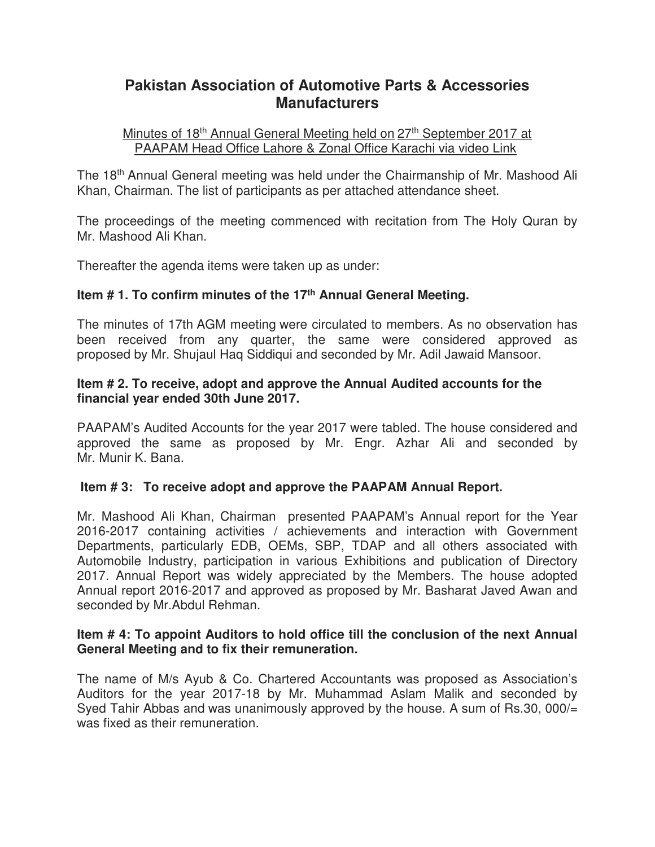# **Pakistan Association of Automotive Parts & Accessories Manufacturers**

#### Minutes of 18<sup>th</sup> Annual General Meeting held on 27<sup>th</sup> September 2017 at PAAPAM Head Office Lahore & Zonal Office Karachi via video Link

The 18<sup>th</sup> Annual General meeting was held under the Chairmanship of Mr. Mashood Ali Khan, Chairman. The list of participants as per attached attendance sheet.

The proceedings of the meeting commenced with recitation from The Holy Quran by Mr. Mashood Ali Khan.

Thereafter the agenda items were taken up as under:

## **Item # 1. To confirm minutes of the 17th Annual General Meeting.**

The minutes of 17th AGM meeting were circulated to members. As no observation has been received from any quarter, the same were considered approved as proposed by Mr. Shujaul Haq Siddiqui and seconded by Mr. Adil Jawaid Mansoor.

### **Item # 2. To receive, adopt and approve the Annual Audited accounts for the financial year ended 30th June 2017.**

PAAPAM's Audited Accounts for the year 2017 were tabled. The house considered and approved the same as proposed by Mr. Engr. Azhar Ali and seconded by Mr. Munir K. Bana.

## **Item # 3: To receive adopt and approve the PAAPAM Annual Report.**

Mr. Mashood Ali Khan, Chairman presented PAAPAM's Annual report for the Year 2016-2017 containing activities / achievements and interaction with Government Departments, particularly EDB, OEMs, SBP, TDAP and all others associated with Automobile Industry, participation in various Exhibitions and publication of Directory 2017. Annual Report was widely appreciated by the Members. The house adopted Annual report 2016-2017 and approved as proposed by Mr. Basharat Javed Awan and seconded by Mr.Abdul Rehman.

#### **Item # 4: To appoint Auditors to hold office till the conclusion of the next Annual General Meeting and to fix their remuneration.**

The name of M/s Ayub & Co. Chartered Accountants was proposed as Association's Auditors for the year 2017-18 by Mr. Muhammad Aslam Malik and seconded by Syed Tahir Abbas and was unanimously approved by the house. A sum of Rs.30, 000/= was fixed as their remuneration.